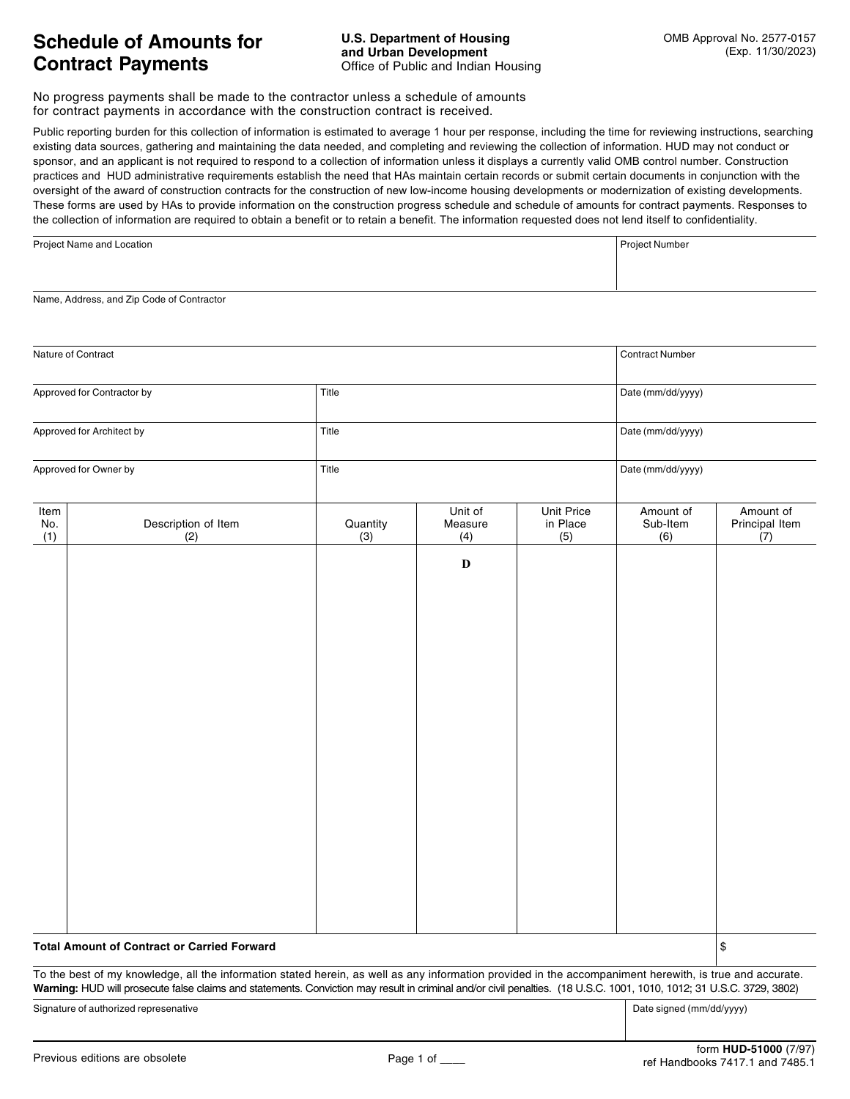No progress payments shall be made to the contractor unless a schedule of amounts for contract payments in accordance with the construction contract is received.

Public reporting burden for this collection of information is estimated to average 1 hour per response, including the time for reviewing instructions, searching existing data sources, gathering and maintaining the data needed, and completing and reviewing the collection of information. HUD may not conduct or sponsor, and an applicant is not required to respond to a collection of information unless it displays a currently valid OMB control number. Construction practices and HUD administrative requirements establish the need that HAs maintain certain records or submit certain documents in conjunction with the oversight of the award of construction contracts for the construction of new lowincome housing developments or modernization of existing developments. These forms are used by HAs to provide information on the construction progress schedule and schedule of amounts for contract payments. Responses to the collection of information are required to obtain a benefit or to retain a benefit. The information requested does not lend itself to confidentiality.

| Project Name and Location | Project Number |
|---------------------------|----------------|
|                           |                |
|                           |                |

Name, Address, and Zip Code of Contractor

| Nature of Contract                                 |                                                                                                                                                                                                                                                                                                                                   |                 |                           |                                        | <b>Contract Number</b>       |                                    |
|----------------------------------------------------|-----------------------------------------------------------------------------------------------------------------------------------------------------------------------------------------------------------------------------------------------------------------------------------------------------------------------------------|-----------------|---------------------------|----------------------------------------|------------------------------|------------------------------------|
| Approved for Contractor by                         |                                                                                                                                                                                                                                                                                                                                   | Title           |                           | Date (mm/dd/yyyy)                      |                              |                                    |
| Approved for Architect by<br>Approved for Owner by |                                                                                                                                                                                                                                                                                                                                   | Title           |                           | Date (mm/dd/yyyy)<br>Date (mm/dd/yyyy) |                              |                                    |
|                                                    |                                                                                                                                                                                                                                                                                                                                   | Title           |                           |                                        |                              |                                    |
| Item<br>No.<br>(1)                                 | Description of Item<br>(2)                                                                                                                                                                                                                                                                                                        | Quantity<br>(3) | Unit of<br>Measure<br>(4) | <b>Unit Price</b><br>in Place<br>(5)   | Amount of<br>Sub-Item<br>(6) | Amount of<br>Principal Item<br>(7) |
|                                                    |                                                                                                                                                                                                                                                                                                                                   |                 | $\mathbf D$               |                                        |                              |                                    |
| <b>Total Amount of Contract or Carried Forward</b> |                                                                                                                                                                                                                                                                                                                                   |                 |                           |                                        |                              | \$                                 |
|                                                    | To the best of my knowledge, all the information stated herein, as well as any information provided in the accompaniment herewith, is true and accurate.<br>Warning: HUD will prosecute false claims and statements. Conviction may result in criminal and/or civil penalties. (18 U.S.C. 1001, 1010, 1012; 31 U.S.C. 3729, 3802) |                 |                           |                                        |                              |                                    |
| Signature of authorized represenative              |                                                                                                                                                                                                                                                                                                                                   |                 |                           |                                        | Date signed (mm/dd/yyyy)     |                                    |